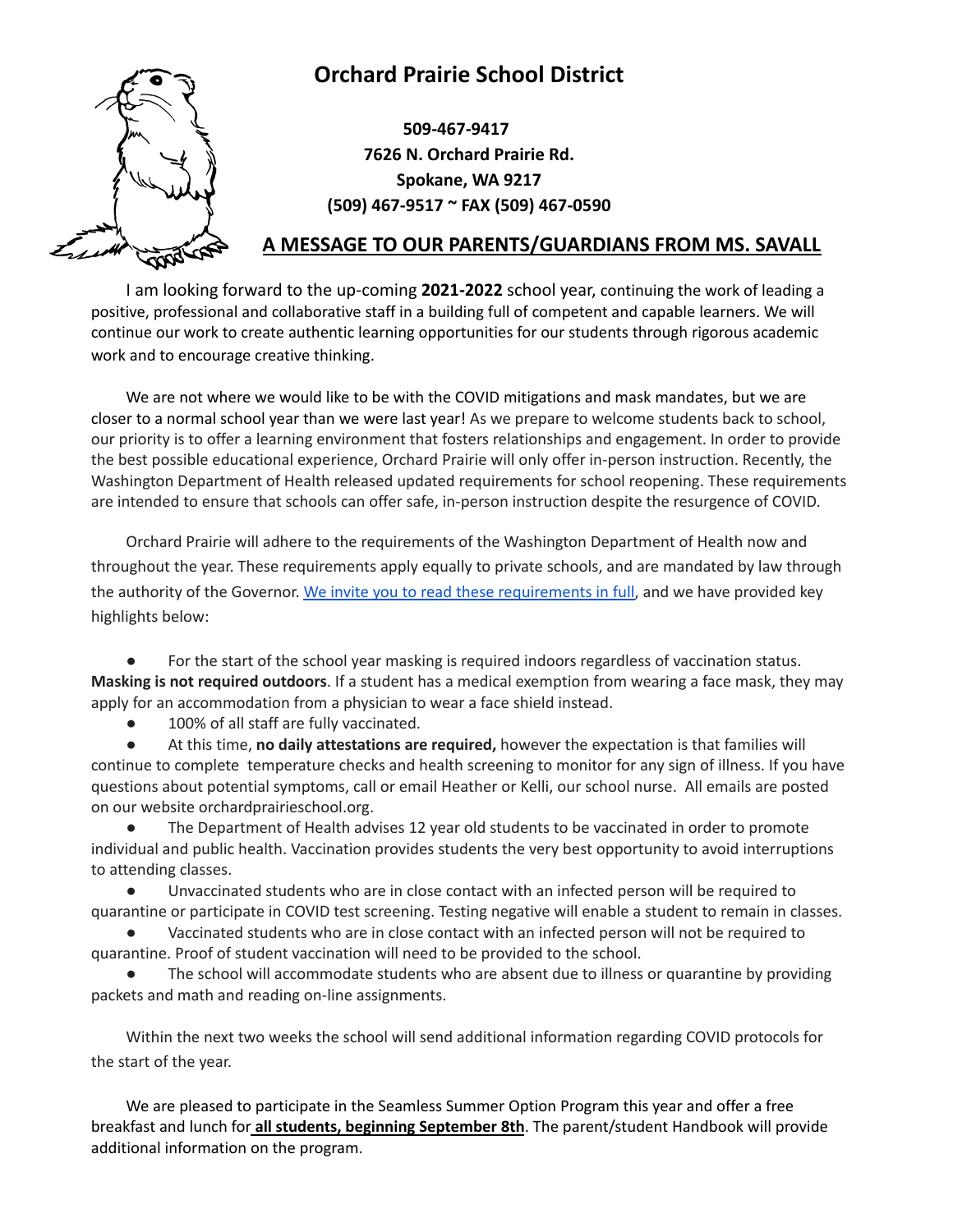## **Orchard Prairie School District**



**509-467-9417 7626 N. Orchard Prairie Rd. Spokane, WA 9217 (509) 467-9517 ~ FAX (509) 467-0590**

## **A MESSAGE TO OUR PARENTS/GUARDIANS FROM MS. SAVALL**

I am looking forward to the up-coming **2021-2022** school year, continuing the work of leading a positive, professional and collaborative staff in a building full of competent and capable learners. We will continue our work to create authentic learning opportunities for our students through rigorous academic work and to encourage creative thinking.

We are not where we would like to be with the COVID mitigations and mask mandates, but we are closer to a normal school year than we were last year! As we prepare to welcome students back to school, our priority is to offer a learning environment that fosters relationships and engagement. In order to provide the best possible educational experience, Orchard Prairie will only offer in-person instruction. Recently, the Washington Department of Health released updated requirements for school reopening. These requirements are intended to ensure that schools can offer safe, in-person instruction despite the resurgence of COVID.

Orchard Prairie will adhere to the requirements of the Washington Department of Health now and throughout the year. These requirements apply equally to private schools, and are mandated by law through the authority of the Governor. We invite you to read these [requirements](https://www.doh.wa.gov/Portals/1/Documents/1600/coronavirus/820-105-K12Schools2021-2022.pdf) in full, and we have provided key highlights below:

For the start of the school year masking is required indoors regardless of vaccination status. **Masking is not required outdoors**. If a student has a medical exemption from wearing a face mask, they may apply for an accommodation from a physician to wear a face shield instead.

● 100% of all staff are fully vaccinated.

● At this time, **no daily attestations are required,** however the expectation is that families will continue to complete temperature checks and health screening to monitor for any sign of illness. If you have questions about potential symptoms, call or email Heather or Kelli, our school nurse. All emails are posted on our website orchardprairieschool.org.

● The Department of Health advises 12 year old students to be vaccinated in order to promote individual and public health. Vaccination provides students the very best opportunity to avoid interruptions to attending classes.

● Unvaccinated students who are in close contact with an infected person will be required to quarantine or participate in COVID test screening. Testing negative will enable a student to remain in classes.

Vaccinated students who are in close contact with an infected person will not be required to quarantine. Proof of student vaccination will need to be provided to the school.

The school will accommodate students who are absent due to illness or quarantine by providing packets and math and reading on-line assignments.

Within the next two weeks the school will send additional information regarding COVID protocols for the start of the year.

We are pleased to participate in the Seamless Summer Option Program this year and offer a free breakfast and lunch for **all students, beginning September 8th**. The parent/student Handbook will provide additional information on the program.